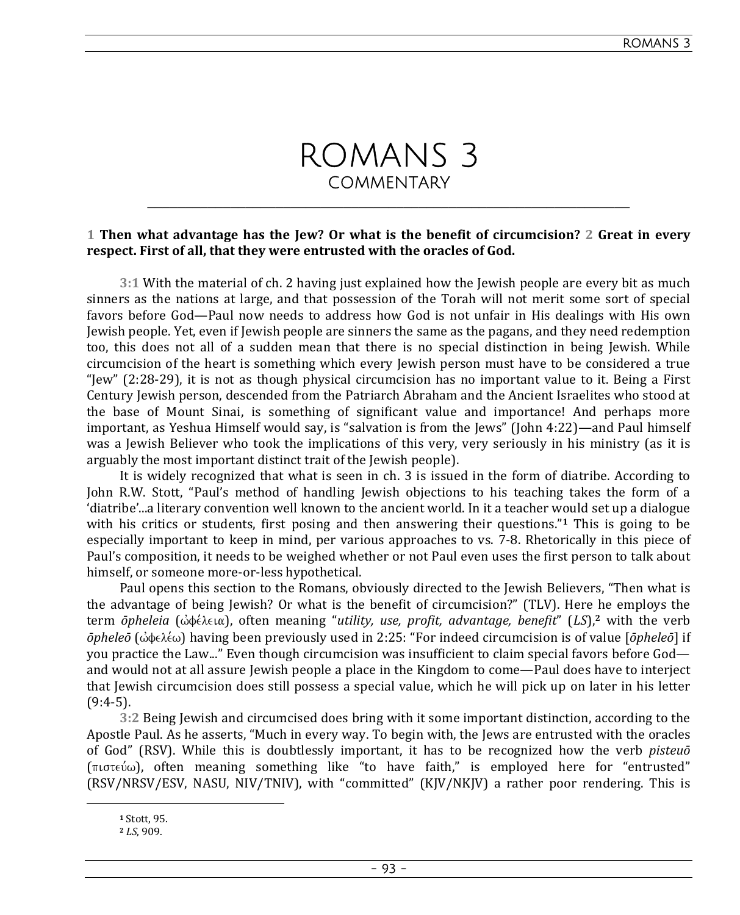

## **1 Then what advantage has the Jew? Or what is the benefit of circumcision? 2 Great in every respect. First of all, that they were entrusted with the oracles of God.**

**3:1** With the material of ch. 2 having just explained how the Jewish people are every bit as much sinners as the nations at large, and that possession of the Torah will not merit some sort of special favors before God—Paul now needs to address how God is not unfair in His dealings with His own Jewish people. Yet, even if Jewish people are sinners the same as the pagans, and they need redemption too, this does not all of a sudden mean that there is no special distinction in being Jewish. While circumcision of the heart is something which every Jewish person must have to be considered a true "Jew" (2:28-29), it is not as though physical circumcision has no important value to it. Being a First Century Jewish person, descended from the Patriarch Abraham and the Ancient Israelites who stood at the base of Mount Sinai, is something of significant value and importance! And perhaps more important, as Yeshua Himself would say, is "salvation is from the Jews" (John 4:22)—and Paul himself was a Jewish Believer who took the implications of this very, very seriously in his ministry (as it is arguably the most important distinct trait of the Jewish people).

It is widely recognized that what is seen in ch. 3 is issued in the form of diatribe. According to John R.W. Stott, "Paul's method of handling Jewish objections to his teaching takes the form of a 'diatribe'...a literary convention well known to the ancient world. In it a teacher would set up a dialogue with his critics or students, first posing and then answering their questions."**1** This is going to be especially important to keep in mind, per various approaches to vs. 7-8. Rhetorically in this piece of Paul's composition, it needs to be weighed whether or not Paul even uses the first person to talk about himself, or someone more-or-less hypothetical.

Paul opens this section to the Romans, obviously directed to the Jewish Believers, "Then what is the advantage of being Jewish? Or what is the benefit of circumcision?" (TLV). Here he employs the term *ōpheleia* (ώφέλεια), often meaning "*utility, use, profit, advantage, benefit*" (LS),<sup>2</sup> with the verb *ōpheleō* (ώφελέω) having been previously used in 2:25: "For indeed circumcision is of value [*ōpheleō*] if you practice the Law..." Even though circumcision was insufficient to claim special favors before God and would not at all assure Jewish people a place in the Kingdom to come—Paul does have to interject that Jewish circumcision does still possess a special value, which he will pick up on later in his letter  $(9:4-5)$ .

**3:2** Being Jewish and circumcised does bring with it some important distinction, according to the Apostle Paul. As he asserts, "Much in every way. To begin with, the Jews are entrusted with the oracles of God" (RSV). While this is doubtlessly important, it has to be recognized how the verb *pisteuō*  $(\pi \circ \pi \circ \omega)$ , often meaning something like "to have faith," is employed here for "entrusted" (RSV/NRSV/ESV, NASU, NIV/TNIV), with "committed" (KJV/NKJV) a rather poor rendering. This is

**<sup>1</sup>** Stott, 95.

**<sup>2</sup>** *LS*, 909.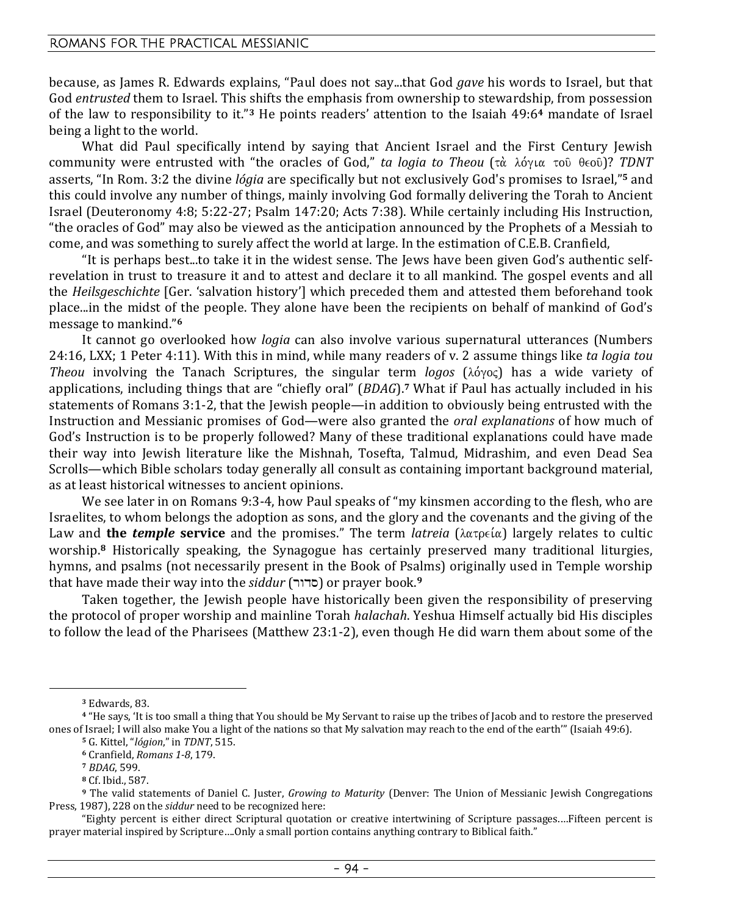because, as James R. Edwards explains, "Paul does not say...that God *gave* his words to Israel, but that God *entrusted* them to Israel. This shifts the emphasis from ownership to stewardship, from possession of the law to responsibility to it."**3** He points readers' attention to the Isaiah 49:6**4** mandate of Israel being a light to the world.

What did Paul specifically intend by saying that Ancient Israel and the First Century Jewish community were entrusted with "the oracles of God," *ta logia to Theou* (τὰ λόγια τοῦ θεοῦ)? *TDNT* asserts, "In Rom. 3:2 the divine *lógia* are specifically but not exclusively God's promises to Israel,"**5** and this could involve any number of things, mainly involving God formally delivering the Torah to Ancient Israel (Deuteronomy 4:8; 5:22-27; Psalm 147:20; Acts 7:38). While certainly including His Instruction, "the oracles of God" may also be viewed as the anticipation announced by the Prophets of a Messiah to come, and was something to surely affect the world at large. In the estimation of C.E.B. Cranfield,

"It is perhaps best...to take it in the widest sense. The Jews have been given God's authentic selfrevelation in trust to treasure it and to attest and declare it to all mankind. The gospel events and all the *Heilsgeschichte* [Ger. 'salvation history'] which preceded them and attested them beforehand took place...in the midst of the people. They alone have been the recipients on behalf of mankind of God's message to mankind."**<sup>6</sup>**

It cannot go overlooked how *logia* can also involve various supernatural utterances (Numbers 24:16, LXX; 1 Peter 4:11). With this in mind, while many readers of v. 2 assume things like *ta logia tou Theou* involving the Tanach Scriptures, the singular term *logos* (λόγος) has a wide variety of applications, including things that are "chiefly oral" (*BDAG*).**7** What if Paul has actually included in his statements of Romans 3:1-2, that the Jewish people—in addition to obviously being entrusted with the Instruction and Messianic promises of God—were also granted the *oral explanations* of how much of God's Instruction is to be properly followed? Many of these traditional explanations could have made their way into Jewish literature like the Mishnah, Tosefta, Talmud, Midrashim, and even Dead Sea Scrolls—which Bible scholars today generally all consult as containing important background material, as at least historical witnesses to ancient opinions.

We see later in on Romans 9:3-4, how Paul speaks of "my kinsmen according to the flesh, who are Israelites, to whom belongs the adoption as sons, and the glory and the covenants and the giving of the Law and **the** *temple* **service** and the promises." The term *latreia*  $(\lambda \alpha \tau) e^{i \alpha}$  largely relates to cultic worship.**8** Historically speaking, the Synagogue has certainly preserved many traditional liturgies, hymns, and psalms (not necessarily present in the Book of Psalms) originally used in Temple worship that have made their way into the *siddur* (rwds) or prayer book.**<sup>9</sup>**

Taken together, the Jewish people have historically been given the responsibility of preserving the protocol of proper worship and mainline Torah *halachah*. Yeshua Himself actually bid His disciples to follow the lead of the Pharisees (Matthew 23:1-2), even though He did warn them about some of the

**<sup>3</sup>** Edwards, 83.

**<sup>4</sup>** "He says, 'It is too small a thing that You should be My Servant to raise up the tribes of Jacob and to restore the preserved ones of Israel; I will also make You a light of the nations so that My salvation may reach to the end of the earth'" (Isaiah 49:6).

**<sup>5</sup>** G. Kittel, "*lógion*," in *TDNT*, 515.

**<sup>6</sup>** Cranfield, *Romans 1-8*, 179.

**<sup>7</sup>** *BDAG*, 599.

**<sup>8</sup>** Cf. Ibid., 587.

**<sup>9</sup>** The valid statements of Daniel C. Juster, *Growing to Maturity* (Denver: The Union of Messianic Jewish Congregations Press, 1987), 228 on the *siddur* need to be recognized here:

<sup>&</sup>quot;Eighty percent is either direct Scriptural quotation or creative intertwining of Scripture passages.…Fifteen percent is prayer material inspired by Scripture….Only a small portion contains anything contrary to Biblical faith."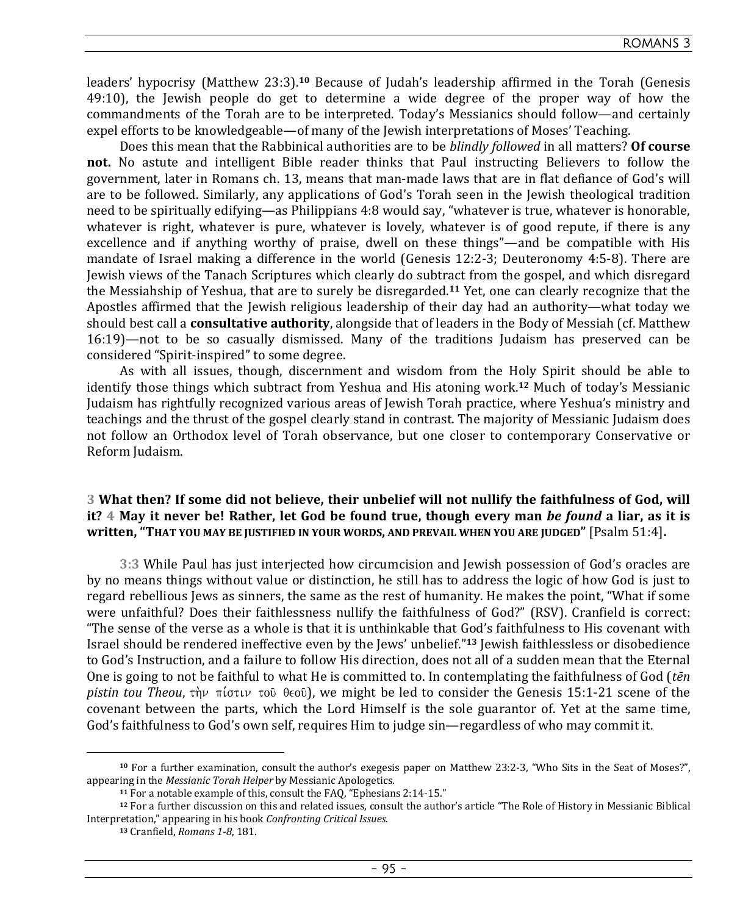leaders' hypocrisy (Matthew 23:3).**10** Because of Judah's leadership affirmed in the Torah (Genesis 49:10), the Jewish people do get to determine a wide degree of the proper way of how the commandments of the Torah are to be interpreted. Today's Messianics should follow—and certainly expel efforts to be knowledgeable—of many of the Jewish interpretations of Moses' Teaching.

Does this mean that the Rabbinical authorities are to be *blindly followed* in all matters? **Of course not.** No astute and intelligent Bible reader thinks that Paul instructing Believers to follow the government, later in Romans ch. 13, means that man-made laws that are in flat defiance of God's will are to be followed. Similarly, any applications of God's Torah seen in the Jewish theological tradition need to be spiritually edifying—as Philippians 4:8 would say, "whatever is true, whatever is honorable, whatever is right, whatever is pure, whatever is lovely, whatever is of good repute, if there is any excellence and if anything worthy of praise, dwell on these things"—and be compatible with His mandate of Israel making a difference in the world (Genesis 12:2-3; Deuteronomy 4:5-8). There are Jewish views of the Tanach Scriptures which clearly do subtract from the gospel, and which disregard the Messiahship of Yeshua, that are to surely be disregarded.**11** Yet, one can clearly recognize that the Apostles affirmed that the Jewish religious leadership of their day had an authority—what today we should best call a **consultative authority**, alongside that of leaders in the Body of Messiah (cf. Matthew 16:19)—not to be so casually dismissed. Many of the traditions Judaism has preserved can be considered "Spirit-inspired" to some degree.

As with all issues, though, discernment and wisdom from the Holy Spirit should be able to identify those things which subtract from Yeshua and His atoning work.**12** Much of today's Messianic Judaism has rightfully recognized various areas of Jewish Torah practice, where Yeshua's ministry and teachings and the thrust of the gospel clearly stand in contrast. The majority of Messianic Judaism does not follow an Orthodox level of Torah observance, but one closer to contemporary Conservative or Reform Judaism.

### **3 What then? If some did not believe, their unbelief will not nullify the faithfulness of God, will it? 4 May it never be! Rather, let God be found true, though every man** *be found* **a liar, as it is written, "THAT YOU MAY BE JUSTIFIED IN YOUR WORDS, AND PREVAIL WHEN YOU ARE JUDGED"** [Psalm 51:4]**.**

**3:3** While Paul has just interjected how circumcision and Jewish possession of God's oracles are by no means things without value or distinction, he still has to address the logic of how God is just to regard rebellious Jews as sinners, the same as the rest of humanity. He makes the point, "What if some were unfaithful? Does their faithlessness nullify the faithfulness of God?" (RSV). Cranfield is correct: "The sense of the verse as a whole is that it is unthinkable that God's faithfulness to His covenant with Israel should be rendered ineffective even by the Jews' unbelief."**13** Jewish faithlessless or disobedience to God's Instruction, and a failure to follow His direction, does not all of a sudden mean that the Eternal One is going to not be faithful to what He is committed to. In contemplating the faithfulness of God (*tēn pistin tou Theou,*  $\tau \dot{p}$   $\pi i \sigma \tau \nu$   $\tau \dot{\sigma}$   $\theta \epsilon \dot{\sigma}$ , we might be led to consider the Genesis 15:1-21 scene of the covenant between the parts, which the Lord Himself is the sole guarantor of. Yet at the same time, God's faithfulness to God's own self, requires Him to judge sin—regardless of who may commit it.

**<sup>10</sup>** For a further examination, consult the author's exegesis paper on Matthew 23:2-3, "Who Sits in the Seat of Moses?", appearing in the *Messianic Torah Helper* by Messianic Apologetics*.*

**<sup>11</sup>** For a notable example of this, consult the FAQ, "Ephesians 2:14-15."

**<sup>12</sup>** For a further discussion on this and related issues, consult the author's article "The Role of History in Messianic Biblical Interpretation," appearing in his book *Confronting Critical Issues.* 

**<sup>13</sup>** Cranfield, *Romans 1-8*, 181.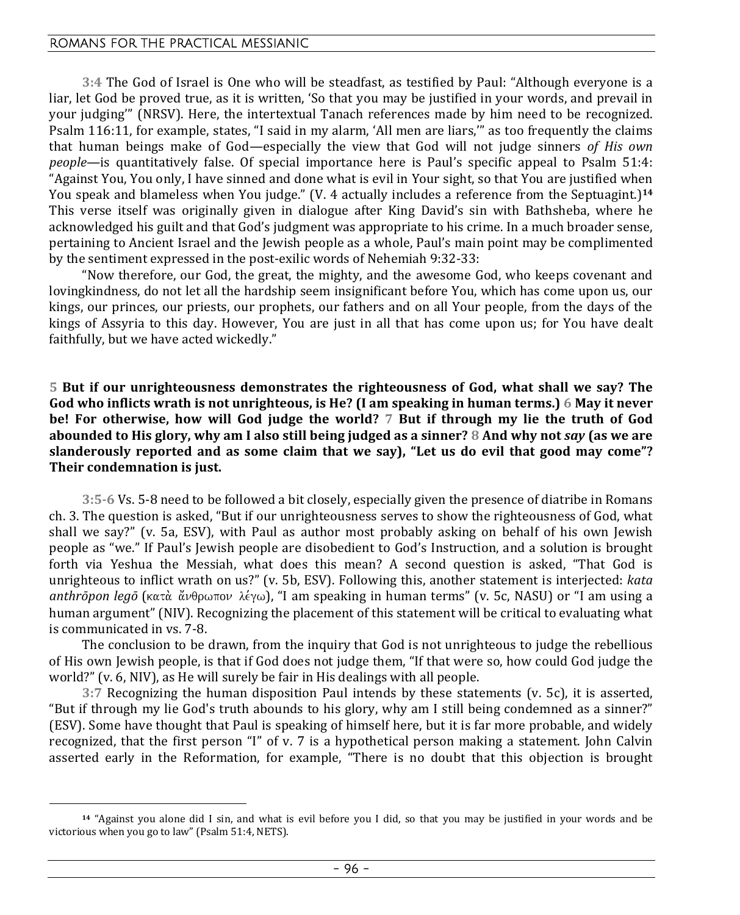**3:4** The God of Israel is One who will be steadfast, as testified by Paul: "Although everyone is a liar, let God be proved true, as it is written, 'So that you may be justified in your words, and prevail in your judging'" (NRSV). Here, the intertextual Tanach references made by him need to be recognized. Psalm 116:11, for example, states, "I said in my alarm, 'All men are liars,'" as too frequently the claims that human beings make of God—especially the view that God will not judge sinners *of His own people*—is quantitatively false. Of special importance here is Paul's specific appeal to Psalm 51:4: "Against You, You only, I have sinned and done what is evil in Your sight, so that You are justified when You speak and blameless when You judge." (V. 4 actually includes a reference from the Septuagint.)**<sup>14</sup>** This verse itself was originally given in dialogue after King David's sin with Bathsheba, where he acknowledged his guilt and that God's judgment was appropriate to his crime. In a much broader sense, pertaining to Ancient Israel and the Jewish people as a whole, Paul's main point may be complimented by the sentiment expressed in the post-exilic words of Nehemiah 9:32-33:

"Now therefore, our God, the great, the mighty, and the awesome God, who keeps covenant and lovingkindness, do not let all the hardship seem insignificant before You, which has come upon us, our kings, our princes, our priests, our prophets, our fathers and on all Your people, from the days of the kings of Assyria to this day. However, You are just in all that has come upon us; for You have dealt faithfully, but we have acted wickedly."

**5 But if our unrighteousness demonstrates the righteousness of God, what shall we say? The God who inflicts wrath is not unrighteous, is He? (I am speaking in human terms.) 6 May it never be! For otherwise, how will God judge the world? 7 But if through my lie the truth of God abounded to His glory, why am I also still being judged as a sinner? 8 And why not** *say* **(as we are slanderously reported and as some claim that we say), "Let us do evil that good may come"? Their condemnation is just.** 

**3:5-6** Vs. 5-8 need to be followed a bit closely, especially given the presence of diatribe in Romans ch. 3. The question is asked, "But if our unrighteousness serves to show the righteousness of God, what shall we say?" (v. 5a, ESV), with Paul as author most probably asking on behalf of his own Jewish people as "we." If Paul's Jewish people are disobedient to God's Instruction, and a solution is brought forth via Yeshua the Messiah, what does this mean? A second question is asked, "That God is unrighteous to inflict wrath on us?" (v. 5b, ESV). Following this, another statement is interjected: *kata*   $\alpha$ anthrōpon legō (κατὰ ἄνθρωπον λέγω), "I am speaking in human terms" (v. 5c, NASU) or "I am using a human argument" (NIV). Recognizing the placement of this statement will be critical to evaluating what is communicated in vs. 7-8.

The conclusion to be drawn, from the inquiry that God is not unrighteous to judge the rebellious of His own Jewish people, is that if God does not judge them, "If that were so, how could God judge the world?" (v. 6, NIV), as He will surely be fair in His dealings with all people.

**3:7** Recognizing the human disposition Paul intends by these statements (v. 5c), it is asserted, "But if through my lie God's truth abounds to his glory, why am I still being condemned as a sinner?" (ESV). Some have thought that Paul is speaking of himself here, but it is far more probable, and widely recognized, that the first person "I" of v. 7 is a hypothetical person making a statement. John Calvin asserted early in the Reformation, for example, "There is no doubt that this objection is brought

**<sup>14</sup>** "Against you alone did I sin, and what is evil before you I did, so that you may be justified in your words and be victorious when you go to law" (Psalm 51:4, NETS).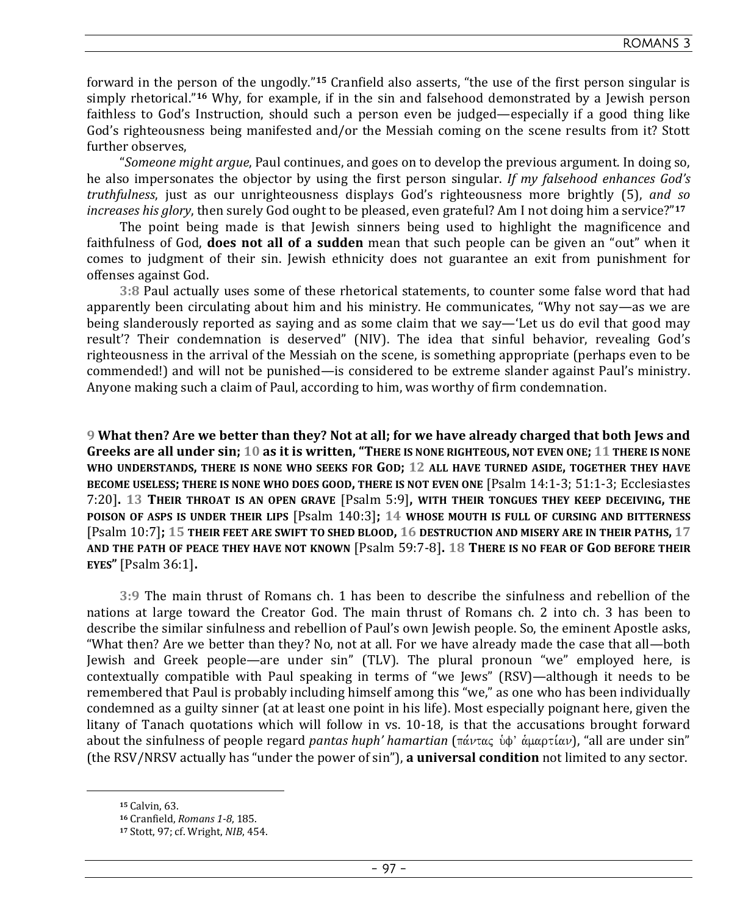forward in the person of the ungodly."**15** Cranfield also asserts, "the use of the first person singular is simply rhetorical."**16** Why, for example, if in the sin and falsehood demonstrated by a Jewish person faithless to God's Instruction, should such a person even be judged—especially if a good thing like God's righteousness being manifested and/or the Messiah coming on the scene results from it? Stott further observes,

"*Someone might argue*, Paul continues, and goes on to develop the previous argument. In doing so, he also impersonates the objector by using the first person singular. *If my falsehood enhances God's truthfulness*, just as our unrighteousness displays God's righteousness more brightly (5), *and so increases his glory*, then surely God ought to be pleased, even grateful? Am I not doing him a service?"**<sup>17</sup>**

The point being made is that Jewish sinners being used to highlight the magnificence and faithfulness of God, **does not all of a sudden** mean that such people can be given an "out" when it comes to judgment of their sin. Jewish ethnicity does not guarantee an exit from punishment for offenses against God.

**3:8** Paul actually uses some of these rhetorical statements, to counter some false word that had apparently been circulating about him and his ministry. He communicates, "Why not say—as we are being slanderously reported as saying and as some claim that we say—'Let us do evil that good may result'? Their condemnation is deserved" (NIV). The idea that sinful behavior, revealing God's righteousness in the arrival of the Messiah on the scene, is something appropriate (perhaps even to be commended!) and will not be punished—is considered to be extreme slander against Paul's ministry. Anyone making such a claim of Paul, according to him, was worthy of firm condemnation.

**9 What then? Are we better than they? Not at all; for we have already charged that both Jews and Greeks are all under sin; 10 as it is written, "THERE IS NONE RIGHTEOUS, NOT EVEN ONE; 11 THERE IS NONE WHO UNDERSTANDS, THERE IS NONE WHO SEEKS FOR GOD; 12 ALL HAVE TURNED ASIDE, TOGETHER THEY HAVE BECOME USELESS; THERE IS NONE WHO DOES GOOD, THERE IS NOT EVEN ONE** [Psalm 14:1-3; 51:1-3; Ecclesiastes 7:20]**. 13 THEIR THROAT IS AN OPEN GRAVE** [Psalm 5:9]**, WITH THEIR TONGUES THEY KEEP DECEIVING, THE POISON OF ASPS IS UNDER THEIR LIPS** [Psalm 140:3]**; 14 WHOSE MOUTH IS FULL OF CURSING AND BITTERNESS** [Psalm 10:7]**; 15 THEIR FEET ARE SWIFT TO SHED BLOOD, 16 DESTRUCTION AND MISERY ARE IN THEIR PATHS, 17 AND THE PATH OF PEACE THEY HAVE NOT KNOWN** [Psalm 59:7-8]**. 18 THERE IS NO FEAR OF GOD BEFORE THEIR EYES"** [Psalm 36:1]**.** 

**3:9** The main thrust of Romans ch. 1 has been to describe the sinfulness and rebellion of the nations at large toward the Creator God. The main thrust of Romans ch. 2 into ch. 3 has been to describe the similar sinfulness and rebellion of Paul's own Jewish people. So, the eminent Apostle asks, "What then? Are we better than they? No, not at all. For we have already made the case that all—both Jewish and Greek people—are under sin" (TLV). The plural pronoun "we" employed here, is contextually compatible with Paul speaking in terms of "we Jews" (RSV)—although it needs to be remembered that Paul is probably including himself among this "we," as one who has been individually condemned as a guilty sinner (at at least one point in his life). Most especially poignant here, given the litany of Tanach quotations which will follow in vs. 10-18, is that the accusations brought forward about the sinfulness of people regard *pantas huph' hamartian* (πάντας ὑφ' ἀμαρτίαν), "all are under sin" (the RSV/NRSV actually has "under the power of sin"), **a universal condition** not limited to any sector.

**<sup>15</sup>** Calvin, 63.

**<sup>16</sup>** Cranfield, *Romans 1-8*, 185.

**<sup>17</sup>** Stott, 97; cf. Wright, *NIB*, 454.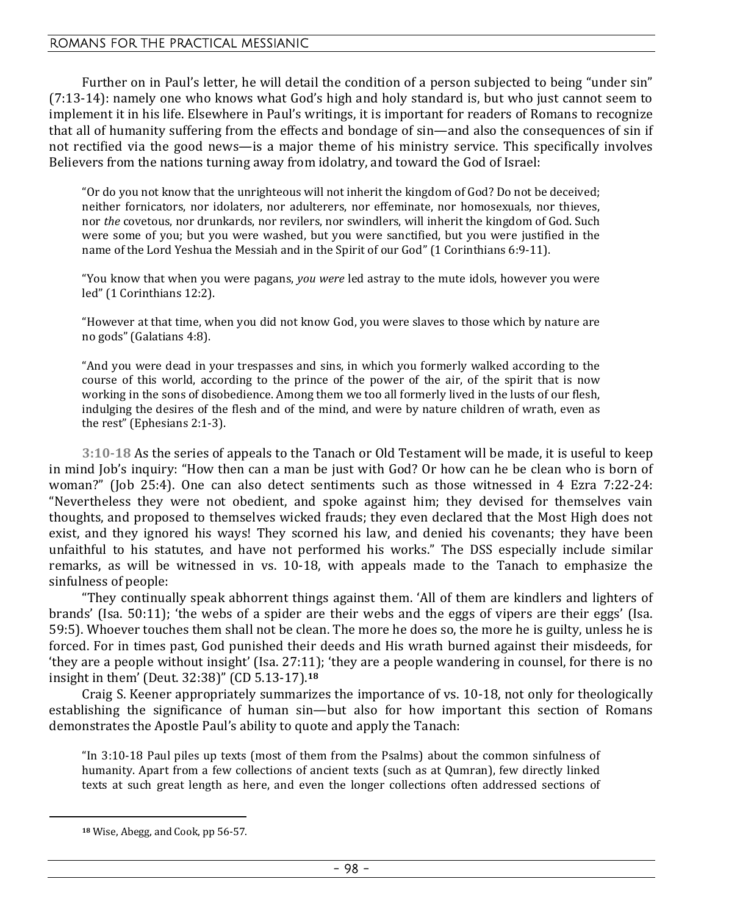Further on in Paul's letter, he will detail the condition of a person subjected to being "under sin" (7:13-14): namely one who knows what God's high and holy standard is, but who just cannot seem to implement it in his life. Elsewhere in Paul's writings, it is important for readers of Romans to recognize that all of humanity suffering from the effects and bondage of sin—and also the consequences of sin if not rectified via the good news—is a major theme of his ministry service. This specifically involves Believers from the nations turning away from idolatry, and toward the God of Israel:

"Or do you not know that the unrighteous will not inherit the kingdom of God? Do not be deceived; neither fornicators, nor idolaters, nor adulterers, nor effeminate, nor homosexuals, nor thieves, nor *the* covetous, nor drunkards, nor revilers, nor swindlers, will inherit the kingdom of God. Such were some of you; but you were washed, but you were sanctified, but you were justified in the name of the Lord Yeshua the Messiah and in the Spirit of our God" (1 Corinthians 6:9-11).

"You know that when you were pagans, *you were* led astray to the mute idols, however you were led" (1 Corinthians 12:2).

"However at that time, when you did not know God, you were slaves to those which by nature are no gods" (Galatians 4:8).

"And you were dead in your trespasses and sins, in which you formerly walked according to the course of this world, according to the prince of the power of the air, of the spirit that is now working in the sons of disobedience. Among them we too all formerly lived in the lusts of our flesh, indulging the desires of the flesh and of the mind, and were by nature children of wrath, even as the rest" (Ephesians 2:1-3).

**3:10-18** As the series of appeals to the Tanach or Old Testament will be made, it is useful to keep in mind Job's inquiry: "How then can a man be just with God? Or how can he be clean who is born of woman?" (Job 25:4). One can also detect sentiments such as those witnessed in 4 Ezra 7:22-24: "Nevertheless they were not obedient, and spoke against him; they devised for themselves vain thoughts, and proposed to themselves wicked frauds; they even declared that the Most High does not exist, and they ignored his ways! They scorned his law, and denied his covenants; they have been unfaithful to his statutes, and have not performed his works." The DSS especially include similar remarks, as will be witnessed in vs. 10-18, with appeals made to the Tanach to emphasize the sinfulness of people:

"They continually speak abhorrent things against them. 'All of them are kindlers and lighters of brands' (Isa. 50:11); 'the webs of a spider are their webs and the eggs of vipers are their eggs' (Isa. 59:5). Whoever touches them shall not be clean. The more he does so, the more he is guilty, unless he is forced. For in times past, God punished their deeds and His wrath burned against their misdeeds, for 'they are a people without insight' (Isa. 27:11); 'they are a people wandering in counsel, for there is no insight in them' (Deut. 32:38)" (CD 5.13-17).**<sup>18</sup>**

Craig S. Keener appropriately summarizes the importance of vs. 10-18, not only for theologically establishing the significance of human sin—but also for how important this section of Romans demonstrates the Apostle Paul's ability to quote and apply the Tanach:

"In 3:10-18 Paul piles up texts (most of them from the Psalms) about the common sinfulness of humanity. Apart from a few collections of ancient texts (such as at Qumran), few directly linked texts at such great length as here, and even the longer collections often addressed sections of

**<sup>18</sup>** Wise, Abegg, and Cook, pp 56-57.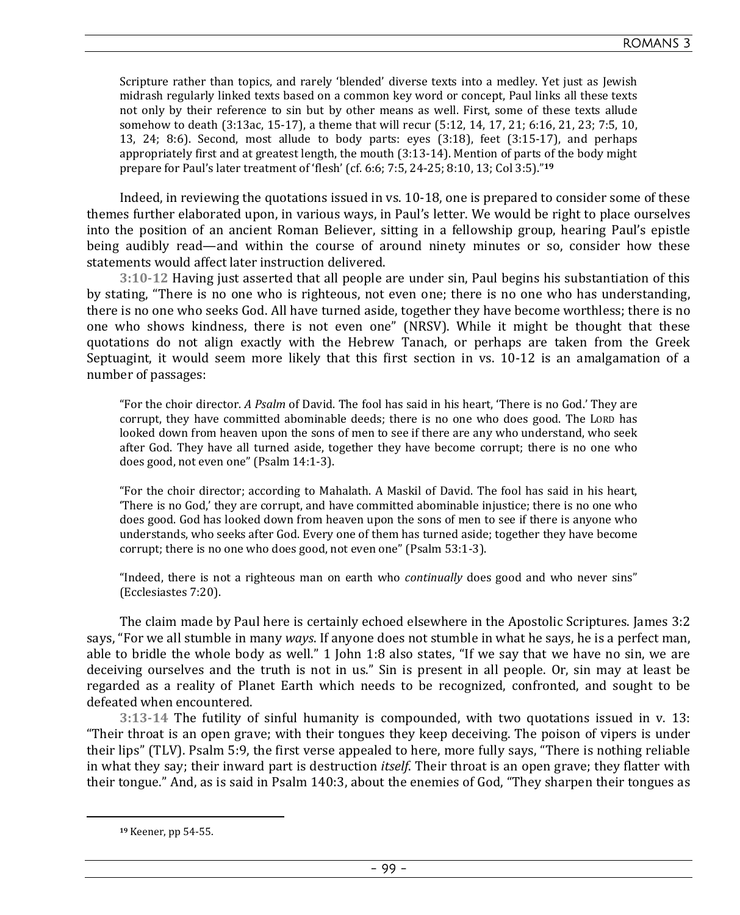Scripture rather than topics, and rarely 'blended' diverse texts into a medley. Yet just as Jewish midrash regularly linked texts based on a common key word or concept, Paul links all these texts not only by their reference to sin but by other means as well. First, some of these texts allude somehow to death (3:13ac, 15-17), a theme that will recur (5:12, 14, 17, 21; 6:16, 21, 23; 7:5, 10, 13, 24; 8:6). Second, most allude to body parts: eyes (3:18), feet (3:15-17), and perhaps appropriately first and at greatest length, the mouth (3:13-14). Mention of parts of the body might prepare for Paul's later treatment of 'flesh' (cf. 6:6; 7:5, 24-25; 8:10, 13; Col 3:5)."**<sup>19</sup>**

Indeed, in reviewing the quotations issued in vs. 10-18, one is prepared to consider some of these themes further elaborated upon, in various ways, in Paul's letter. We would be right to place ourselves into the position of an ancient Roman Believer, sitting in a fellowship group, hearing Paul's epistle being audibly read—and within the course of around ninety minutes or so, consider how these statements would affect later instruction delivered.

**3:10-12** Having just asserted that all people are under sin, Paul begins his substantiation of this by stating, "There is no one who is righteous, not even one; there is no one who has understanding, there is no one who seeks God. All have turned aside, together they have become worthless; there is no one who shows kindness, there is not even one" (NRSV). While it might be thought that these quotations do not align exactly with the Hebrew Tanach, or perhaps are taken from the Greek Septuagint, it would seem more likely that this first section in vs. 10-12 is an amalgamation of a number of passages:

"For the choir director. *A Psalm* of David. The fool has said in his heart, 'There is no God.' They are corrupt, they have committed abominable deeds; there is no one who does good. The LORD has looked down from heaven upon the sons of men to see if there are any who understand, who seek after God. They have all turned aside, together they have become corrupt; there is no one who does good, not even one" (Psalm 14:1-3).

"For the choir director; according to Mahalath. A Maskil of David. The fool has said in his heart, 'There is no God,' they are corrupt, and have committed abominable injustice; there is no one who does good. God has looked down from heaven upon the sons of men to see if there is anyone who understands, who seeks after God. Every one of them has turned aside; together they have become corrupt; there is no one who does good, not even one" (Psalm 53:1-3).

"Indeed, there is not a righteous man on earth who *continually* does good and who never sins" (Ecclesiastes 7:20).

The claim made by Paul here is certainly echoed elsewhere in the Apostolic Scriptures. James 3:2 says, "For we all stumble in many *ways*. If anyone does not stumble in what he says, he is a perfect man, able to bridle the whole body as well." 1 John 1:8 also states, "If we say that we have no sin, we are deceiving ourselves and the truth is not in us." Sin is present in all people. Or, sin may at least be regarded as a reality of Planet Earth which needs to be recognized, confronted, and sought to be defeated when encountered.

**3:13-14** The futility of sinful humanity is compounded, with two quotations issued in v. 13: "Their throat is an open grave; with their tongues they keep deceiving. The poison of vipers is under their lips" (TLV). Psalm 5:9, the first verse appealed to here, more fully says, "There is nothing reliable in what they say; their inward part is destruction *itself*. Their throat is an open grave; they flatter with their tongue." And, as is said in Psalm 140:3, about the enemies of God, "They sharpen their tongues as

**<sup>19</sup>** Keener, pp 54-55.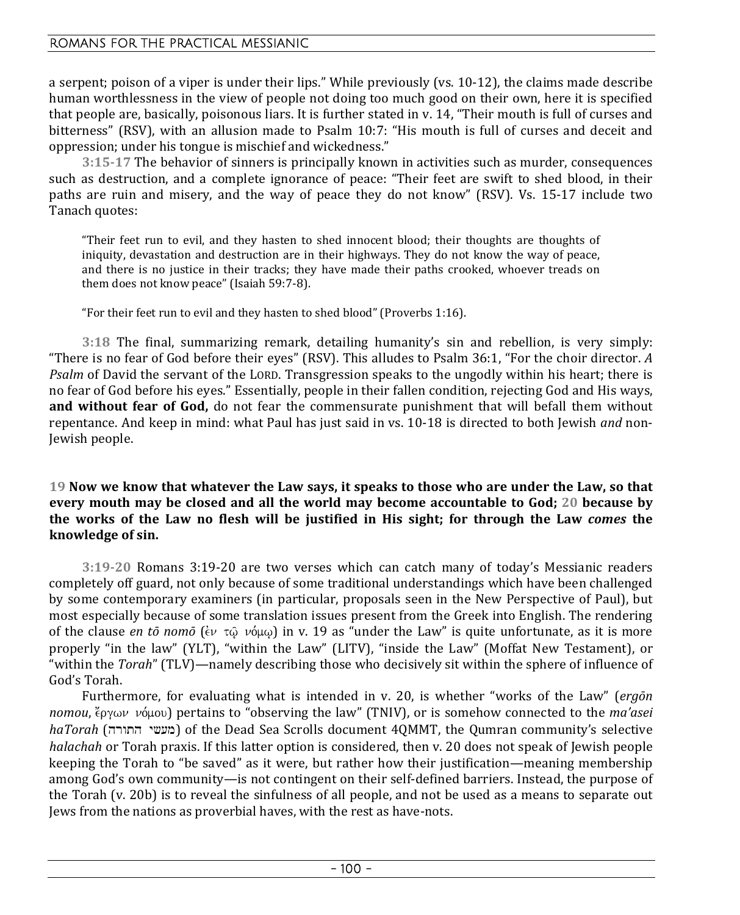a serpent; poison of a viper is under their lips." While previously (vs. 10-12), the claims made describe human worthlessness in the view of people not doing too much good on their own, here it is specified that people are, basically, poisonous liars. It is further stated in v. 14, "Their mouth is full of curses and bitterness" (RSV), with an allusion made to Psalm 10:7: "His mouth is full of curses and deceit and oppression; under his tongue is mischief and wickedness."

**3:15-17** The behavior of sinners is principally known in activities such as murder, consequences such as destruction, and a complete ignorance of peace: "Their feet are swift to shed blood, in their paths are ruin and misery, and the way of peace they do not know" (RSV). Vs. 15-17 include two Tanach quotes:

"Their feet run to evil, and they hasten to shed innocent blood; their thoughts are thoughts of iniquity, devastation and destruction are in their highways. They do not know the way of peace, and there is no justice in their tracks; they have made their paths crooked, whoever treads on them does not know peace" (Isaiah 59:7-8).

"For their feet run to evil and they hasten to shed blood" (Proverbs 1:16).

**3:18** The final, summarizing remark, detailing humanity's sin and rebellion, is very simply: "There is no fear of God before their eyes" (RSV). This alludes to Psalm 36:1, "For the choir director. *A Psalm* of David the servant of the LORD. Transgression speaks to the ungodly within his heart; there is no fear of God before his eyes." Essentially, people in their fallen condition, rejecting God and His ways, **and without fear of God,** do not fear the commensurate punishment that will befall them without repentance. And keep in mind: what Paul has just said in vs. 10-18 is directed to both Jewish *and* non-Jewish people.

### **19 Now we know that whatever the Law says, it speaks to those who are under the Law, so that every mouth may be closed and all the world may become accountable to God; 20 because by the works of the Law no flesh will be justified in His sight; for through the Law** *comes* **the knowledge of sin.**

**3:19-20** Romans 3:19-20 are two verses which can catch many of today's Messianic readers completely off guard, not only because of some traditional understandings which have been challenged by some contemporary examiners (in particular, proposals seen in the New Perspective of Paul), but most especially because of some translation issues present from the Greek into English. The rendering of the clause *en tō nomō* ( $\epsilon v \tau \hat{\omega}$   $\nu \phi \mu \omega$ ) in v. 19 as "under the Law" is quite unfortunate, as it is more properly "in the law" (YLT), "within the Law" (LITV), "inside the Law" (Moffat New Testament), or "within the *Torah*" (TLV)—namely describing those who decisively sit within the sphere of influence of God's Torah.

Furthermore, for evaluating what is intended in v. 20, is whether "works of the Law" (*ergōn nomou*,  $\zeta$ <sub>2</sub>γων νόμου) pertains to "observing the law" (TNIV), or is somehow connected to the *ma'asei haTorah* (מעשי התורה) of the Dead Sea Scrolls document 4QMMT, the Qumran community's selective *halachah* or Torah praxis. If this latter option is considered, then v. 20 does not speak of Jewish people keeping the Torah to "be saved" as it were, but rather how their justification—meaning membership among God's own community—is not contingent on their self-defined barriers. Instead, the purpose of the Torah (v. 20b) is to reveal the sinfulness of all people, and not be used as a means to separate out Jews from the nations as proverbial haves, with the rest as have-nots.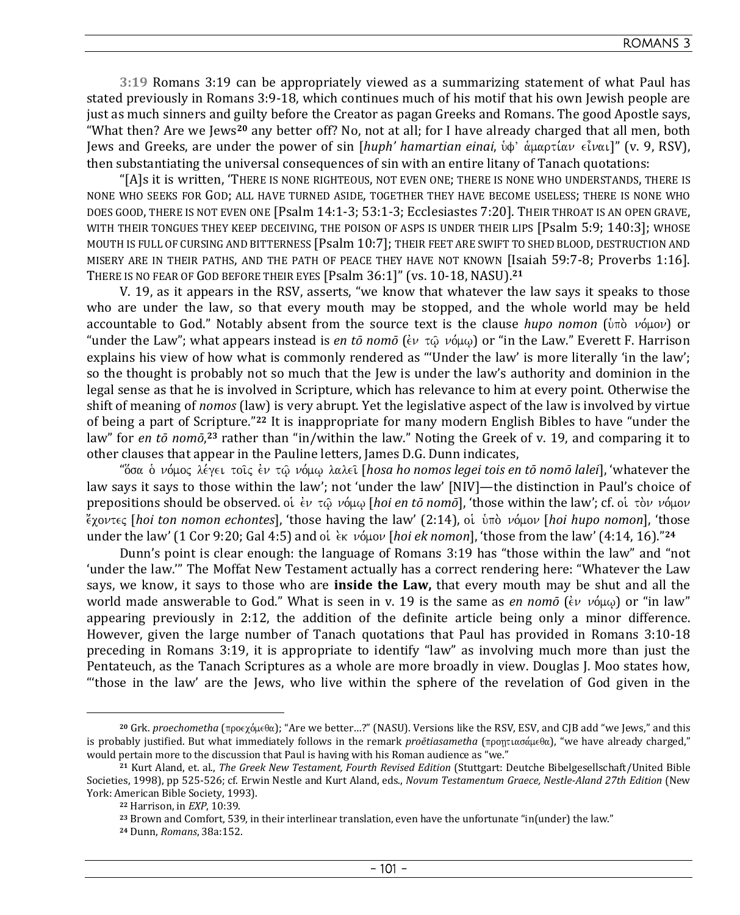**3:19** Romans 3:19 can be appropriately viewed as a summarizing statement of what Paul has stated previously in Romans 3:9-18, which continues much of his motif that his own Jewish people are just as much sinners and guilty before the Creator as pagan Greeks and Romans. The good Apostle says, "What then? Are we Jews**20** any better off? No, not at all; for I have already charged that all men, both Jews and Greeks, are under the power of sin [*huph' hamartian einai*, ὑφ' ἁμαρτίαν εἶναι]" (v. 9, RSV), then substantiating the universal consequences of sin with an entire litany of Tanach quotations:

"[A]s it is written, 'THERE IS NONE RIGHTEOUS, NOT EVEN ONE; THERE IS NONE WHO UNDERSTANDS, THERE IS NONE WHO SEEKS FOR GOD; ALL HAVE TURNED ASIDE, TOGETHER THEY HAVE BECOME USELESS; THERE IS NONE WHO DOES GOOD, THERE IS NOT EVEN ONE [Psalm 14:1-3; 53:1-3; Ecclesiastes 7:20]. THEIR THROAT IS AN OPEN GRAVE, WITH THEIR TONGUES THEY KEEP DECEIVING, THE POISON OF ASPS IS UNDER THEIR LIPS [Psalm 5:9; 140:3]; WHOSE MOUTH IS FULL OF CURSING AND BITTERNESS [Psalm 10:7]; THEIR FEET ARE SWIFT TO SHED BLOOD, DESTRUCTION AND MISERY ARE IN THEIR PATHS, AND THE PATH OF PEACE THEY HAVE NOT KNOWN [Isaiah 59:7-8; Proverbs 1:16]. THERE IS NO FEAR OF GOD BEFORE THEIR EYES [Psalm 36:1]" (vs. 10-18, NASU).**<sup>21</sup>**

V. 19, as it appears in the RSV, asserts, "we know that whatever the law says it speaks to those who are under the law, so that every mouth may be stopped, and the whole world may be held accountable to God." Notably absent from the source text is the clause *hupo nomon* (υπό νόμον) or "under the Law"; what appears instead is *en tō nomō* ( $\epsilon v \tau \hat{\omega} \nu \hat{\omega}(\omega)$  or "in the Law." Everett F. Harrison explains his view of how what is commonly rendered as "'Under the law' is more literally 'in the law'; so the thought is probably not so much that the Jew is under the law's authority and dominion in the legal sense as that he is involved in Scripture, which has relevance to him at every point. Otherwise the shift of meaning of *nomos* (law) is very abrupt. Yet the legislative aspect of the law is involved by virtue of being a part of Scripture."**22** It is inappropriate for many modern English Bibles to have "under the law" for *en tō nomō*, **<sup>23</sup>** rather than "in/within the law." Noting the Greek of v. 19, and comparing it to other clauses that appear in the Pauline letters, James D.G. Dunn indicates,

"Όσα ο νόμος λέγει τοις εν τῷ νόμῳ λαλει [hosa ho nomos legei tois en tō nomō lalei], 'whatever the law says it says to those within the law'; not 'under the law' [NIV]—the distinction in Paul's choice of prepositions should be observed. oi έν τῶ νόμω [hoi en tō nomō], 'those within the law'; cf. oi τὸν νόμον *έχοντες [hoi ton nomon echontes], 'those having the law' (2:14), oi ύπο νόμον [hoi hupo nomon], 'those* under the law' (1 Cor 9:20; Gal 4:5) and oi ελε νόμον [hoi ek nomon], 'those from the law' (4:14, 16)."<sup>24</sup>

Dunn's point is clear enough: the language of Romans 3:19 has "those within the law" and "not 'under the law.'" The Moffat New Testament actually has a correct rendering here: "Whatever the Law says, we know, it says to those who are **inside the Law,** that every mouth may be shut and all the world made answerable to God." What is seen in v. 19 is the same as *en nomo*  $(\epsilon v \nu \omega)$  or "in law" appearing previously in 2:12, the addition of the definite article being only a minor difference. However, given the large number of Tanach quotations that Paul has provided in Romans 3:10-18 preceding in Romans 3:19, it is appropriate to identify "law" as involving much more than just the Pentateuch, as the Tanach Scriptures as a whole are more broadly in view. Douglas J. Moo states how, "'those in the law' are the Jews, who live within the sphere of the revelation of God given in the

 $20$  Grk. *proechometha* (προεχόμεθα); "Are we better…?" (NASU). Versions like the RSV, ESV, and CJB add "we Jews," and this is probably justified. But what immediately follows in the remark *proētiasametha* (προητιασάμεθα), "we have already charged," would pertain more to the discussion that Paul is having with his Roman audience as "we."

**<sup>21</sup>** Kurt Aland, et. al., *The Greek New Testament, Fourth Revised Edition* (Stuttgart: Deutche Bibelgesellschaft/United Bible Societies, 1998), pp 525-526; cf. Erwin Nestle and Kurt Aland, eds., *Novum Testamentum Graece, Nestle-Aland 27th Edition* (New York: American Bible Society, 1993).

**<sup>22</sup>** Harrison, in *EXP*, 10:39.

**<sup>23</sup>** Brown and Comfort, 539, in their interlinear translation, even have the unfortunate "in(under) the law."

**<sup>24</sup>** Dunn, *Romans*, 38a:152.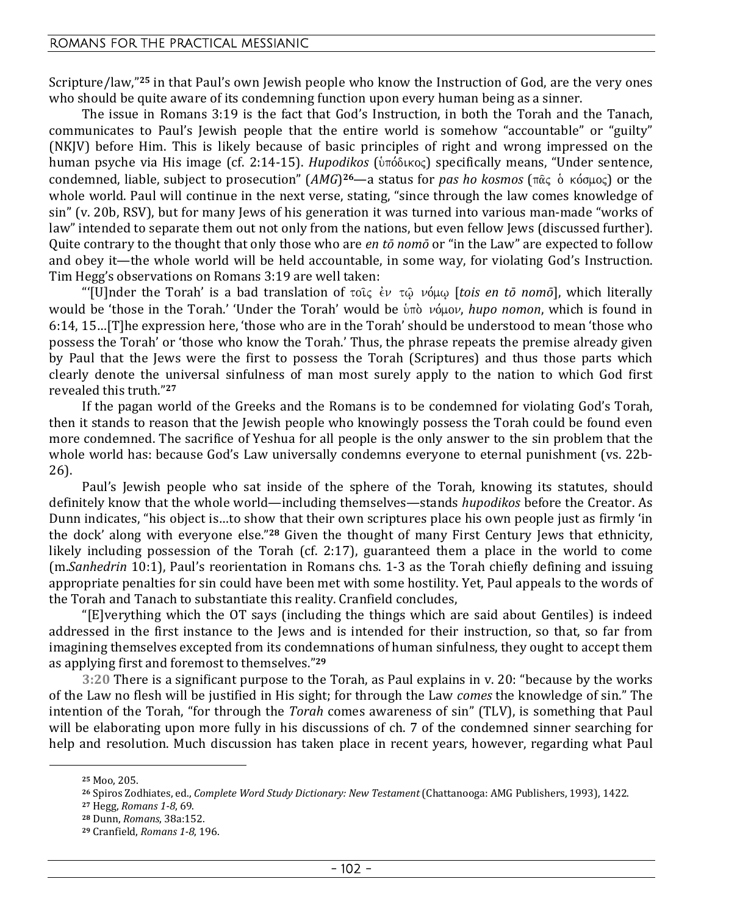Scripture/law,"**25** in that Paul's own Jewish people who know the Instruction of God, are the very ones who should be quite aware of its condemning function upon every human being as a sinner.

The issue in Romans 3:19 is the fact that God's Instruction, in both the Torah and the Tanach, communicates to Paul's Jewish people that the entire world is somehow "accountable" or "guilty" (NKJV) before Him. This is likely because of basic principles of right and wrong impressed on the human psyche via His image (cf. 2:14-15). *Hupodikos* (υπόδικος) specifically means, "Under sentence, condemned, liable, subject to prosecution" (*AMG*)<sup>26</sup>—a status for *pas ho kosmos* (πᾶς ὁ κόσμος) or the whole world. Paul will continue in the next verse, stating, "since through the law comes knowledge of sin" (v. 20b, RSV), but for many Jews of his generation it was turned into various man-made "works of law" intended to separate them out not only from the nations, but even fellow Jews (discussed further). Quite contrary to the thought that only those who are *en tō nomō* or "in the Law" are expected to follow and obey it—the whole world will be held accountable, in some way, for violating God's Instruction. Tim Hegg's observations on Romans 3:19 are well taken:

"[U]nder the Torah' is a bad translation of  $\tau$ οῖς ἐν τῷ νόμῳ [tois en tō nomō], which literally would be 'those in the Torah.' 'Under the Torah' would be υπό νόμον, *hupo nomon*, which is found in 6:14, 15…[T]he expression here, 'those who are in the Torah' should be understood to mean 'those who possess the Torah' or 'those who know the Torah.' Thus, the phrase repeats the premise already given by Paul that the Jews were the first to possess the Torah (Scriptures) and thus those parts which clearly denote the universal sinfulness of man most surely apply to the nation to which God first revealed this truth."**<sup>27</sup>**

If the pagan world of the Greeks and the Romans is to be condemned for violating God's Torah, then it stands to reason that the Jewish people who knowingly possess the Torah could be found even more condemned. The sacrifice of Yeshua for all people is the only answer to the sin problem that the whole world has: because God's Law universally condemns everyone to eternal punishment (vs. 22b-26).

Paul's Jewish people who sat inside of the sphere of the Torah, knowing its statutes, should definitely know that the whole world—including themselves—stands *hupodikos* before the Creator. As Dunn indicates, "his object is…to show that their own scriptures place his own people just as firmly 'in the dock' along with everyone else."**28** Given the thought of many First Century Jews that ethnicity, likely including possession of the Torah (cf. 2:17), guaranteed them a place in the world to come (m.*Sanhedrin* 10:1), Paul's reorientation in Romans chs. 1-3 as the Torah chiefly defining and issuing appropriate penalties for sin could have been met with some hostility. Yet, Paul appeals to the words of the Torah and Tanach to substantiate this reality. Cranfield concludes,

"[E]verything which the OT says (including the things which are said about Gentiles) is indeed addressed in the first instance to the Jews and is intended for their instruction, so that, so far from imagining themselves excepted from its condemnations of human sinfulness, they ought to accept them as applying first and foremost to themselves."**<sup>29</sup>**

**3:20** There is a significant purpose to the Torah, as Paul explains in v. 20: "because by the works of the Law no flesh will be justified in His sight; for through the Law *comes* the knowledge of sin." The intention of the Torah, "for through the *Torah* comes awareness of sin" (TLV), is something that Paul will be elaborating upon more fully in his discussions of ch. 7 of the condemned sinner searching for help and resolution. Much discussion has taken place in recent years, however, regarding what Paul

**<sup>25</sup>** Moo, 205.

**<sup>26</sup>** Spiros Zodhiates, ed., *Complete Word Study Dictionary: New Testament* (Chattanooga: AMG Publishers, 1993), 1422.

**<sup>27</sup>** Hegg, *Romans 1-8*, 69.

**<sup>28</sup>** Dunn, *Romans*, 38a:152.

**<sup>29</sup>** Cranfield, *Romans 1-8*, 196.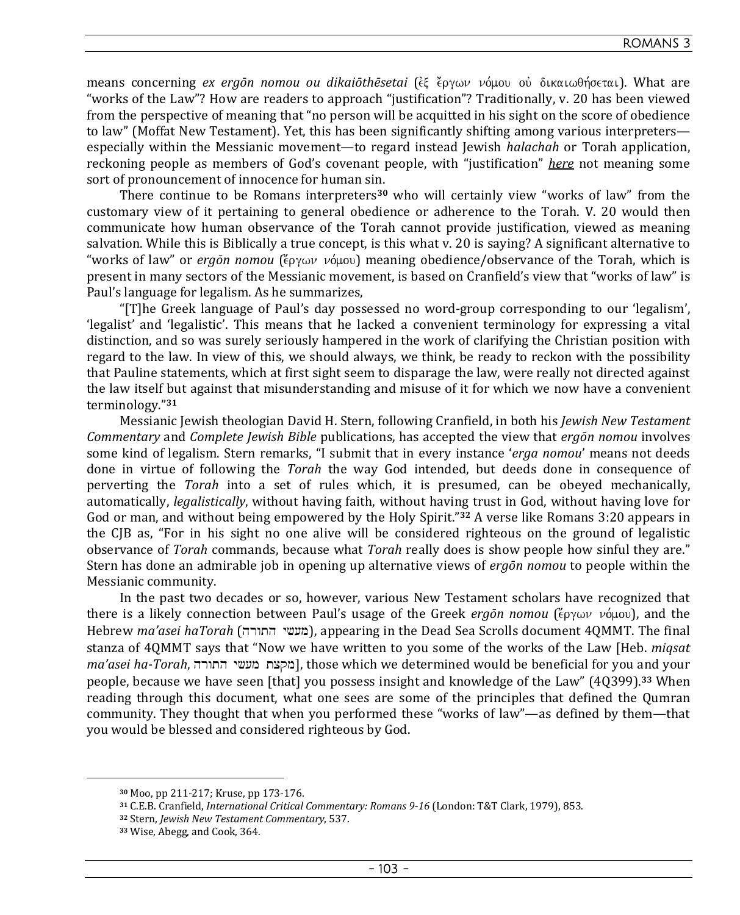### ROMANS 3

means concerning *ex ergōn nomou ou dikaiōthēsetai* (έξ έργων νόμου οὐ δικαιωθήσεται). What are "works of the Law"? How are readers to approach "justification"? Traditionally, v. 20 has been viewed from the perspective of meaning that "no person will be acquitted in his sight on the score of obedience to law" (Moffat New Testament). Yet, this has been significantly shifting among various interpreters especially within the Messianic movement—to regard instead Jewish *halachah* or Torah application, reckoning people as members of God's covenant people, with "justification" *here* not meaning some sort of pronouncement of innocence for human sin.

There continue to be Romans interpreters**30** who will certainly view "works of law" from the customary view of it pertaining to general obedience or adherence to the Torah. V. 20 would then communicate how human observance of the Torah cannot provide justification, viewed as meaning salvation. While this is Biblically a true concept, is this what v. 20 is saying? A significant alternative to "works of law" or *ergōn nomou* (ἔργων νόμου) meaning obedience/observance of the Torah, which is present in many sectors of the Messianic movement, is based on Cranfield's view that "works of law" is Paul's language for legalism. As he summarizes,

"[T]he Greek language of Paul's day possessed no word-group corresponding to our 'legalism', 'legalist' and 'legalistic'. This means that he lacked a convenient terminology for expressing a vital distinction, and so was surely seriously hampered in the work of clarifying the Christian position with regard to the law. In view of this, we should always, we think, be ready to reckon with the possibility that Pauline statements, which at first sight seem to disparage the law, were really not directed against the law itself but against that misunderstanding and misuse of it for which we now have a convenient terminology."**<sup>31</sup>**

Messianic Jewish theologian David H. Stern, following Cranfield, in both his *Jewish New Testament Commentary* and *Complete Jewish Bible* publications, has accepted the view that *ergōn nomou* involves some kind of legalism. Stern remarks, "I submit that in every instance '*erga nomou*' means not deeds done in virtue of following the *Torah* the way God intended, but deeds done in consequence of perverting the *Torah* into a set of rules which, it is presumed, can be obeyed mechanically, automatically, *legalistically*, without having faith, without having trust in God, without having love for God or man, and without being empowered by the Holy Spirit."**32** A verse like Romans 3:20 appears in the CJB as, "For in his sight no one alive will be considered righteous on the ground of legalistic observance of *Torah* commands, because what *Torah* really does is show people how sinful they are." Stern has done an admirable job in opening up alternative views of *ergōn nomou* to people within the Messianic community.

In the past two decades or so, however, various New Testament scholars have recognized that there is a likely connection between Paul's usage of the Greek *ergōn nomou* (ζογων νόμου), and the Hebrew *ma'asei haTorah* (hrwth yX[m), appearing in the Dead Sea Scrolls document 4QMMT. The final stanza of 4QMMT says that "Now we have written to you some of the works of the Law [Heb. *miqsat ma'asei ha-Torah*, מקצת מעשי התורה], those which we determined would be beneficial for you and your people, because we have seen [that] you possess insight and knowledge of the Law" (4Q399).**33** When reading through this document, what one sees are some of the principles that defined the Qumran community. They thought that when you performed these "works of law"—as defined by them—that you would be blessed and considered righteous by God.

**<sup>30</sup>** Moo, pp 211-217; Kruse, pp 173-176.

**<sup>31</sup>** C.E.B. Cranfield, *International Critical Commentary: Romans 9-16* (London: T&T Clark, 1979), 853.

**<sup>32</sup>** Stern, *Jewish New Testament Commentary*, 537.

**<sup>33</sup>** Wise, Abegg, and Cook, 364.